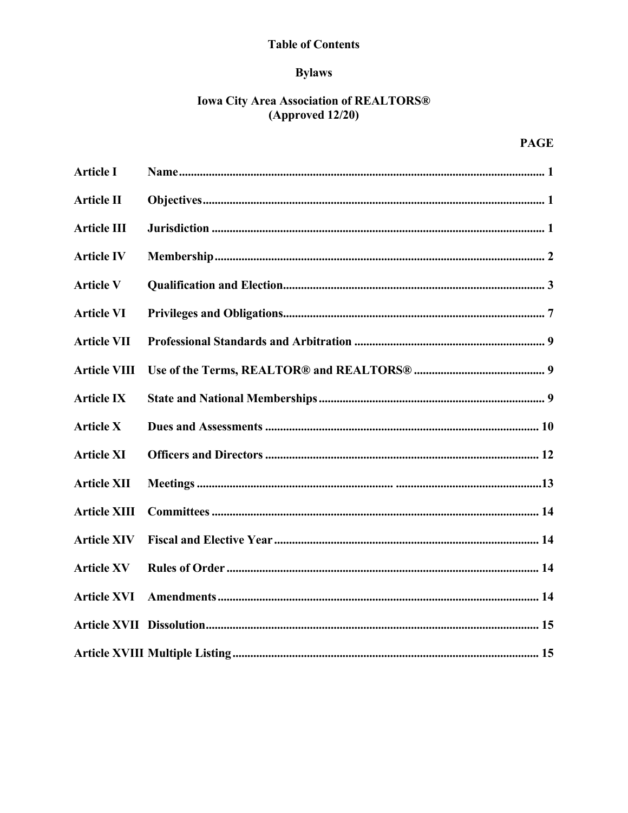# **Table of Contents**

# **Bylaws**

# **Iowa City Area Association of REALTORS®**  $(Approved 12/20)$

# **PAGE**

| <b>Article I</b>    |  |
|---------------------|--|
| <b>Article II</b>   |  |
| <b>Article III</b>  |  |
| <b>Article IV</b>   |  |
| <b>Article V</b>    |  |
| <b>Article VI</b>   |  |
| <b>Article VII</b>  |  |
| <b>Article VIII</b> |  |
| <b>Article IX</b>   |  |
| <b>Article X</b>    |  |
| <b>Article XI</b>   |  |
| <b>Article XII</b>  |  |
| <b>Article XIII</b> |  |
| <b>Article XIV</b>  |  |
| <b>Article XV</b>   |  |
| <b>Article XVI</b>  |  |
|                     |  |
|                     |  |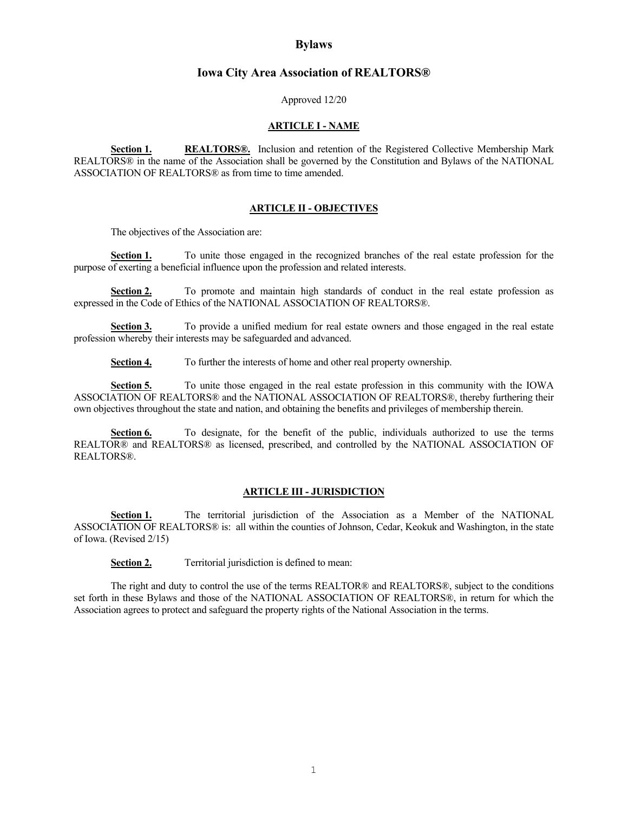# **Bylaws**

### **Iowa City Area Association of REALTORS®**

Approved 12/20

#### **ARTICLE I - NAME**

**Section 1. REALTORS®.** Inclusion and retention of the Registered Collective Membership Mark REALTORS® in the name of the Association shall be governed by the Constitution and Bylaws of the NATIONAL ASSOCIATION OF REALTORS® as from time to time amended.

#### **ARTICLE II - OBJECTIVES**

The objectives of the Association are:

**Section 1.** To unite those engaged in the recognized branches of the real estate profession for the purpose of exerting a beneficial influence upon the profession and related interests.

Section 2. To promote and maintain high standards of conduct in the real estate profession as expressed in the Code of Ethics of the NATIONAL ASSOCIATION OF REALTORS®.

**Section 3.** To provide a unified medium for real estate owners and those engaged in the real estate profession whereby their interests may be safeguarded and advanced.

**Section 4.** To further the interests of home and other real property ownership.

**Section 5.** To unite those engaged in the real estate profession in this community with the IOWA ASSOCIATION OF REALTORS® and the NATIONAL ASSOCIATION OF REALTORS®, thereby furthering their own objectives throughout the state and nation, and obtaining the benefits and privileges of membership therein.

Section 6. To designate, for the benefit of the public, individuals authorized to use the terms REALTOR® and REALTORS® as licensed, prescribed, and controlled by the NATIONAL ASSOCIATION OF REALTORS®.

### **ARTICLE III - JURISDICTION**

Section 1. The territorial jurisdiction of the Association as a Member of the NATIONAL ASSOCIATION OF REALTORS® is: all within the counties of Johnson, Cedar, Keokuk and Washington, in the state of Iowa. (Revised 2/15)

**Section 2.** Territorial jurisdiction is defined to mean:

The right and duty to control the use of the terms REALTOR® and REALTORS®, subject to the conditions set forth in these Bylaws and those of the NATIONAL ASSOCIATION OF REALTORS®, in return for which the Association agrees to protect and safeguard the property rights of the National Association in the terms.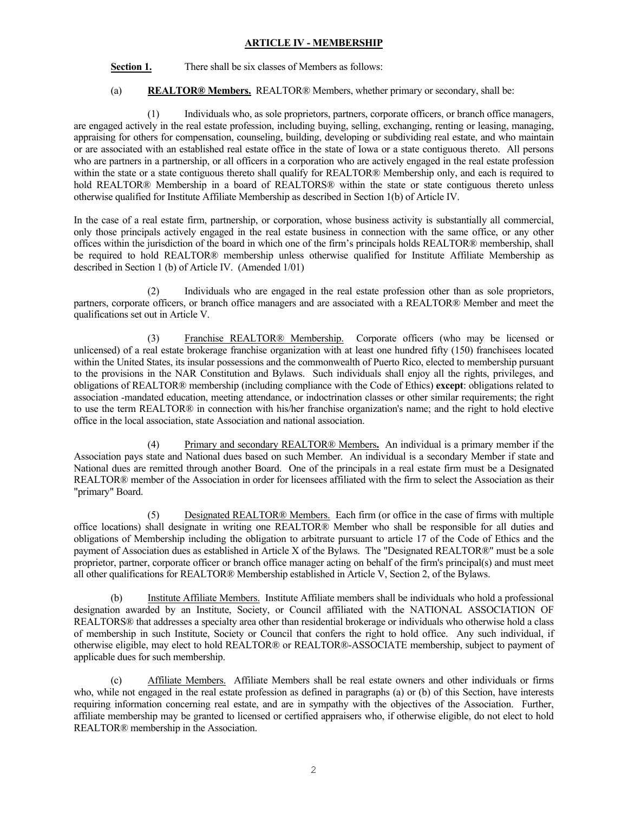# **ARTICLE IV - MEMBERSHIP**

Section 1. There shall be six classes of Members as follows:

(a) **REALTOR® Members.** REALTOR® Members, whether primary or secondary, shall be:

(1) Individuals who, as sole proprietors, partners, corporate officers, or branch office managers, are engaged actively in the real estate profession, including buying, selling, exchanging, renting or leasing, managing, appraising for others for compensation, counseling, building, developing or subdividing real estate, and who maintain or are associated with an established real estate office in the state of Iowa or a state contiguous thereto. All persons who are partners in a partnership, or all officers in a corporation who are actively engaged in the real estate profession within the state or a state contiguous thereto shall qualify for REALTOR® Membership only, and each is required to hold REALTOR® Membership in a board of REALTORS® within the state or state contiguous thereto unless otherwise qualified for Institute Affiliate Membership as described in Section 1(b) of Article IV.

In the case of a real estate firm, partnership, or corporation, whose business activity is substantially all commercial, only those principals actively engaged in the real estate business in connection with the same office, or any other offices within the jurisdiction of the board in which one of the firm's principals holds REALTOR® membership, shall be required to hold REALTOR® membership unless otherwise qualified for Institute Affiliate Membership as described in Section 1 (b) of Article IV. (Amended 1/01)

(2) Individuals who are engaged in the real estate profession other than as sole proprietors, partners, corporate officers, or branch office managers and are associated with a REALTOR® Member and meet the qualifications set out in Article V.

(3) Franchise REALTOR® Membership. Corporate officers (who may be licensed or unlicensed) of a real estate brokerage franchise organization with at least one hundred fifty (150) franchisees located within the United States, its insular possessions and the commonwealth of Puerto Rico, elected to membership pursuant to the provisions in the NAR Constitution and Bylaws. Such individuals shall enjoy all the rights, privileges, and obligations of REALTOR® membership (including compliance with the Code of Ethics) **except**: obligations related to association -mandated education, meeting attendance, or indoctrination classes or other similar requirements; the right to use the term REALTOR® in connection with his/her franchise organization's name; and the right to hold elective office in the local association, state Association and national association.

(4) Primary and secondary REALTOR® Members**.** An individual is a primary member if the Association pays state and National dues based on such Member. An individual is a secondary Member if state and National dues are remitted through another Board. One of the principals in a real estate firm must be a Designated REALTOR® member of the Association in order for licensees affiliated with the firm to select the Association as their "primary" Board.

(5) Designated REALTOR® Members. Each firm (or office in the case of firms with multiple office locations) shall designate in writing one REALTOR® Member who shall be responsible for all duties and obligations of Membership including the obligation to arbitrate pursuant to article 17 of the Code of Ethics and the payment of Association dues as established in Article X of the Bylaws. The "Designated REALTOR®" must be a sole proprietor, partner, corporate officer or branch office manager acting on behalf of the firm's principal(s) and must meet all other qualifications for REALTOR® Membership established in Article V, Section 2, of the Bylaws.

(b) Institute Affiliate Members. Institute Affiliate members shall be individuals who hold a professional designation awarded by an Institute, Society, or Council affiliated with the NATIONAL ASSOCIATION OF REALTORS® that addresses a specialty area other than residential brokerage or individuals who otherwise hold a class of membership in such Institute, Society or Council that confers the right to hold office. Any such individual, if otherwise eligible, may elect to hold REALTOR® or REALTOR®-ASSOCIATE membership, subject to payment of applicable dues for such membership.

(c) Affiliate Members. Affiliate Members shall be real estate owners and other individuals or firms who, while not engaged in the real estate profession as defined in paragraphs (a) or (b) of this Section, have interests requiring information concerning real estate, and are in sympathy with the objectives of the Association. Further, affiliate membership may be granted to licensed or certified appraisers who, if otherwise eligible, do not elect to hold REALTOR® membership in the Association.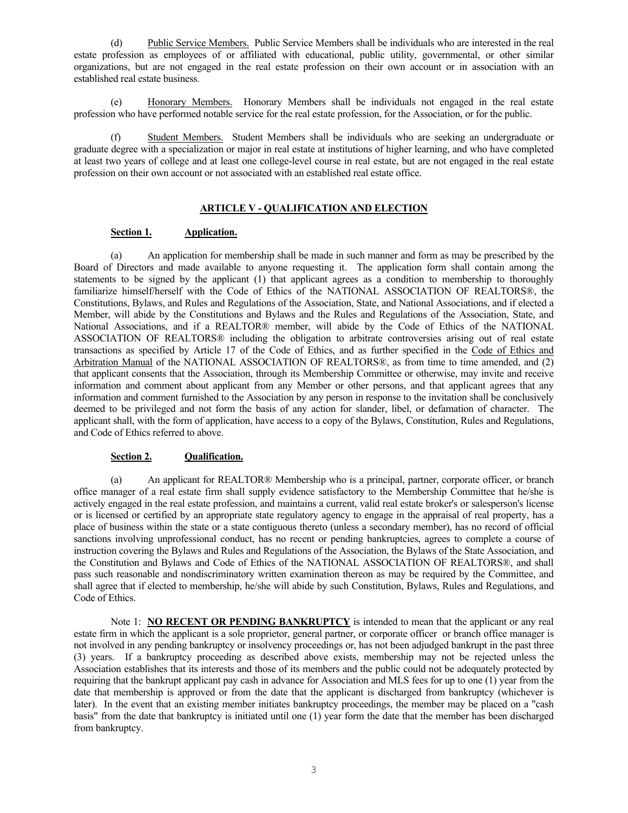(d) Public Service Members. Public Service Members shall be individuals who are interested in the real estate profession as employees of or affiliated with educational, public utility, governmental, or other similar organizations, but are not engaged in the real estate profession on their own account or in association with an established real estate business.

(e) Honorary Members. Honorary Members shall be individuals not engaged in the real estate profession who have performed notable service for the real estate profession, for the Association, or for the public.

(f) Student Members. Student Members shall be individuals who are seeking an undergraduate or graduate degree with a specialization or major in real estate at institutions of higher learning, and who have completed at least two years of college and at least one college-level course in real estate, but are not engaged in the real estate profession on their own account or not associated with an established real estate office.

### **ARTICLE V - QUALIFICATION AND ELECTION**

### **Section 1. Application.**

(a) An application for membership shall be made in such manner and form as may be prescribed by the Board of Directors and made available to anyone requesting it. The application form shall contain among the statements to be signed by the applicant (1) that applicant agrees as a condition to membership to thoroughly familiarize himself/herself with the Code of Ethics of the NATIONAL ASSOCIATION OF REALTORS®, the Constitutions, Bylaws, and Rules and Regulations of the Association, State, and National Associations, and if elected a Member, will abide by the Constitutions and Bylaws and the Rules and Regulations of the Association, State, and National Associations, and if a REALTOR® member, will abide by the Code of Ethics of the NATIONAL ASSOCIATION OF REALTORS® including the obligation to arbitrate controversies arising out of real estate transactions as specified by Article 17 of the Code of Ethics, and as further specified in the Code of Ethics and Arbitration Manual of the NATIONAL ASSOCIATION OF REALTORS®, as from time to time amended, and (2) that applicant consents that the Association, through its Membership Committee or otherwise, may invite and receive information and comment about applicant from any Member or other persons, and that applicant agrees that any information and comment furnished to the Association by any person in response to the invitation shall be conclusively deemed to be privileged and not form the basis of any action for slander, libel, or defamation of character. The applicant shall, with the form of application, have access to a copy of the Bylaws, Constitution, Rules and Regulations, and Code of Ethics referred to above.

# **Section 2. Qualification.**

(a) An applicant for REALTOR® Membership who is a principal, partner, corporate officer, or branch office manager of a real estate firm shall supply evidence satisfactory to the Membership Committee that he/she is actively engaged in the real estate profession, and maintains a current, valid real estate broker's or salesperson's license or is licensed or certified by an appropriate state regulatory agency to engage in the appraisal of real property, has a place of business within the state or a state contiguous thereto (unless a secondary member), has no record of official sanctions involving unprofessional conduct, has no recent or pending bankruptcies, agrees to complete a course of instruction covering the Bylaws and Rules and Regulations of the Association, the Bylaws of the State Association, and the Constitution and Bylaws and Code of Ethics of the NATIONAL ASSOCIATION OF REALTORS®, and shall pass such reasonable and nondiscriminatory written examination thereon as may be required by the Committee, and shall agree that if elected to membership, he/she will abide by such Constitution, Bylaws, Rules and Regulations, and Code of Ethics.

Note 1: **NO RECENT OR PENDING BANKRUPTCY** is intended to mean that the applicant or any real estate firm in which the applicant is a sole proprietor, general partner, or corporate officer or branch office manager is not involved in any pending bankruptcy or insolvency proceedings or, has not been adjudged bankrupt in the past three (3) years. If a bankruptcy proceeding as described above exists, membership may not be rejected unless the Association establishes that its interests and those of its members and the public could not be adequately protected by requiring that the bankrupt applicant pay cash in advance for Association and MLS fees for up to one (1) year from the date that membership is approved or from the date that the applicant is discharged from bankruptcy (whichever is later). In the event that an existing member initiates bankruptcy proceedings, the member may be placed on a "cash basis" from the date that bankruptcy is initiated until one (1) year form the date that the member has been discharged from bankruptcy.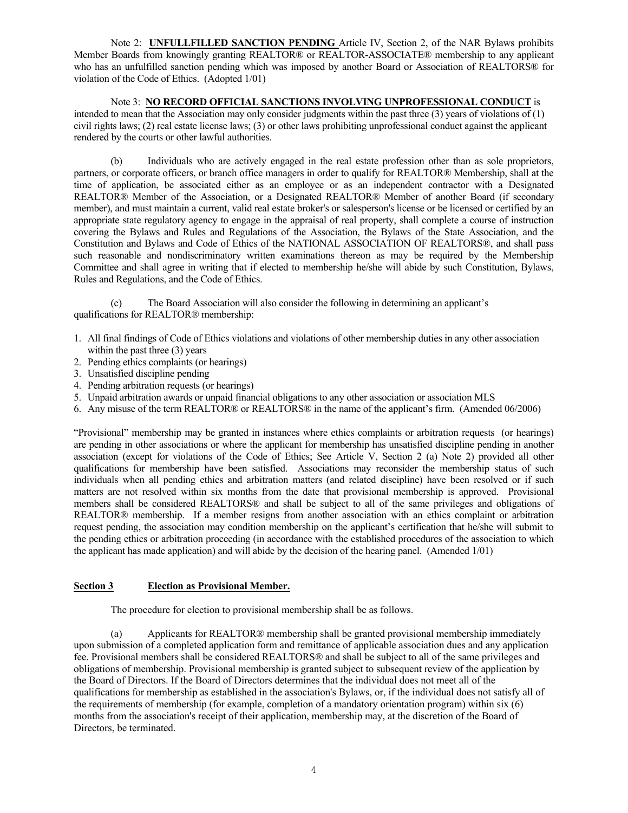Note 2: **UNFULLFILLED SANCTION PENDING** Article IV, Section 2, of the NAR Bylaws prohibits Member Boards from knowingly granting REALTOR® or REALTOR-ASSOCIATE® membership to any applicant who has an unfulfilled sanction pending which was imposed by another Board or Association of REALTORS® for violation of the Code of Ethics. (Adopted 1/01)

Note 3: **NO RECORD OFFICIAL SANCTIONS INVOLVING UNPROFESSIONAL CONDUCT** is intended to mean that the Association may only consider judgments within the past three (3) years of violations of  $(1)$ civil rights laws; (2) real estate license laws; (3) or other laws prohibiting unprofessional conduct against the applicant rendered by the courts or other lawful authorities.

(b) Individuals who are actively engaged in the real estate profession other than as sole proprietors, partners, or corporate officers, or branch office managers in order to qualify for REALTOR® Membership, shall at the time of application, be associated either as an employee or as an independent contractor with a Designated REALTOR® Member of the Association, or a Designated REALTOR® Member of another Board (if secondary member), and must maintain a current, valid real estate broker's or salesperson's license or be licensed or certified by an appropriate state regulatory agency to engage in the appraisal of real property, shall complete a course of instruction covering the Bylaws and Rules and Regulations of the Association, the Bylaws of the State Association, and the Constitution and Bylaws and Code of Ethics of the NATIONAL ASSOCIATION OF REALTORS®, and shall pass such reasonable and nondiscriminatory written examinations thereon as may be required by the Membership Committee and shall agree in writing that if elected to membership he/she will abide by such Constitution, Bylaws, Rules and Regulations, and the Code of Ethics.

(c) The Board Association will also consider the following in determining an applicant's qualifications for REALTOR® membership:

- 1. All final findings of Code of Ethics violations and violations of other membership duties in any other association within the past three (3) years
- 2. Pending ethics complaints (or hearings)
- 3. Unsatisfied discipline pending
- 4. Pending arbitration requests (or hearings)
- 5. Unpaid arbitration awards or unpaid financial obligations to any other association or association MLS
- 6. Any misuse of the term REALTOR® or REALTORS® in the name of the applicant's firm. (Amended 06/2006)

"Provisional" membership may be granted in instances where ethics complaints or arbitration requests (or hearings) are pending in other associations or where the applicant for membership has unsatisfied discipline pending in another association (except for violations of the Code of Ethics; See Article V, Section 2 (a) Note 2) provided all other qualifications for membership have been satisfied. Associations may reconsider the membership status of such individuals when all pending ethics and arbitration matters (and related discipline) have been resolved or if such matters are not resolved within six months from the date that provisional membership is approved. Provisional members shall be considered REALTORS® and shall be subject to all of the same privileges and obligations of REALTOR® membership. If a member resigns from another association with an ethics complaint or arbitration request pending, the association may condition membership on the applicant's certification that he/she will submit to the pending ethics or arbitration proceeding (in accordance with the established procedures of the association to which the applicant has made application) and will abide by the decision of the hearing panel. (Amended 1/01)

# **Section 3 Election as Provisional Member.**

The procedure for election to provisional membership shall be as follows.

(a) Applicants for REALTOR® membership shall be granted provisional membership immediately upon submission of a completed application form and remittance of applicable association dues and any application fee. Provisional members shall be considered REALTORS® and shall be subject to all of the same privileges and obligations of membership. Provisional membership is granted subject to subsequent review of the application by the Board of Directors. If the Board of Directors determines that the individual does not meet all of the qualifications for membership as established in the association's Bylaws, or, if the individual does not satisfy all of the requirements of membership (for example, completion of a mandatory orientation program) within six (6) months from the association's receipt of their application, membership may, at the discretion of the Board of Directors, be terminated.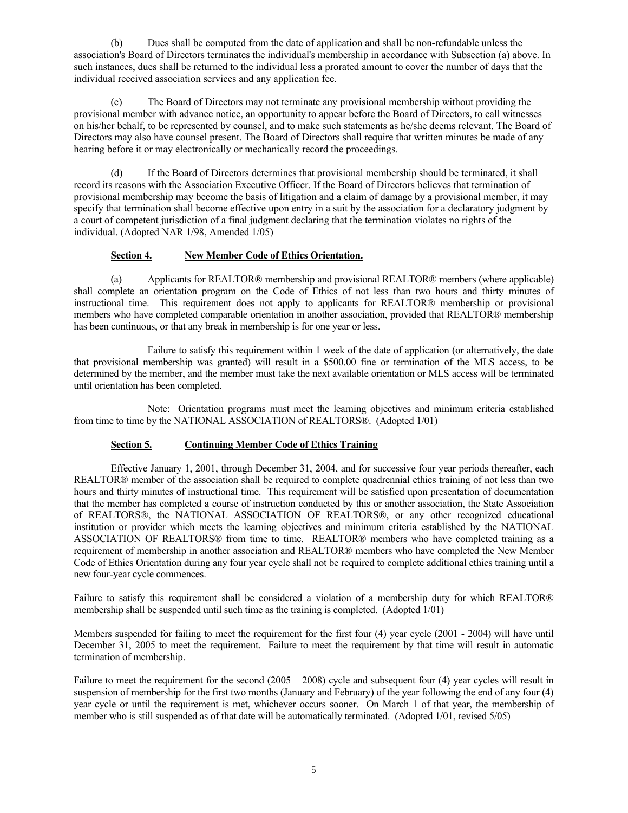(b) Dues shall be computed from the date of application and shall be non-refundable unless the association's Board of Directors terminates the individual's membership in accordance with Subsection (a) above. In such instances, dues shall be returned to the individual less a prorated amount to cover the number of days that the individual received association services and any application fee.

(c) The Board of Directors may not terminate any provisional membership without providing the provisional member with advance notice, an opportunity to appear before the Board of Directors, to call witnesses on his/her behalf, to be represented by counsel, and to make such statements as he/she deems relevant. The Board of Directors may also have counsel present. The Board of Directors shall require that written minutes be made of any hearing before it or may electronically or mechanically record the proceedings.

(d) If the Board of Directors determines that provisional membership should be terminated, it shall record its reasons with the Association Executive Officer. If the Board of Directors believes that termination of provisional membership may become the basis of litigation and a claim of damage by a provisional member, it may specify that termination shall become effective upon entry in a suit by the association for a declaratory judgment by a court of competent jurisdiction of a final judgment declaring that the termination violates no rights of the individual. (Adopted NAR 1/98, Amended 1/05)

### **Section 4. New Member Code of Ethics Orientation.**

(a) Applicants for REALTOR® membership and provisional REALTOR® members (where applicable) shall complete an orientation program on the Code of Ethics of not less than two hours and thirty minutes of instructional time. This requirement does not apply to applicants for REALTOR® membership or provisional members who have completed comparable orientation in another association, provided that REALTOR® membership has been continuous, or that any break in membership is for one year or less.

Failure to satisfy this requirement within 1 week of the date of application (or alternatively, the date that provisional membership was granted) will result in a \$500.00 fine or termination of the MLS access, to be determined by the member, and the member must take the next available orientation or MLS access will be terminated until orientation has been completed.

Note: Orientation programs must meet the learning objectives and minimum criteria established from time to time by the NATIONAL ASSOCIATION of REALTORS®. (Adopted 1/01)

### **Section 5. Continuing Member Code of Ethics Training**

Effective January 1, 2001, through December 31, 2004, and for successive four year periods thereafter, each REALTOR<sup>®</sup> member of the association shall be required to complete quadrennial ethics training of not less than two hours and thirty minutes of instructional time. This requirement will be satisfied upon presentation of documentation that the member has completed a course of instruction conducted by this or another association, the State Association of REALTORS®, the NATIONAL ASSOCIATION OF REALTORS®, or any other recognized educational institution or provider which meets the learning objectives and minimum criteria established by the NATIONAL ASSOCIATION OF REALTORS® from time to time. REALTOR® members who have completed training as a requirement of membership in another association and REALTOR® members who have completed the New Member Code of Ethics Orientation during any four year cycle shall not be required to complete additional ethics training until a new four-year cycle commences.

Failure to satisfy this requirement shall be considered a violation of a membership duty for which REALTOR® membership shall be suspended until such time as the training is completed. (Adopted 1/01)

Members suspended for failing to meet the requirement for the first four (4) year cycle (2001 - 2004) will have until December 31, 2005 to meet the requirement. Failure to meet the requirement by that time will result in automatic termination of membership.

Failure to meet the requirement for the second (2005 – 2008) cycle and subsequent four (4) year cycles will result in suspension of membership for the first two months (January and February) of the year following the end of any four (4) year cycle or until the requirement is met, whichever occurs sooner. On March 1 of that year, the membership of member who is still suspended as of that date will be automatically terminated. (Adopted 1/01, revised 5/05)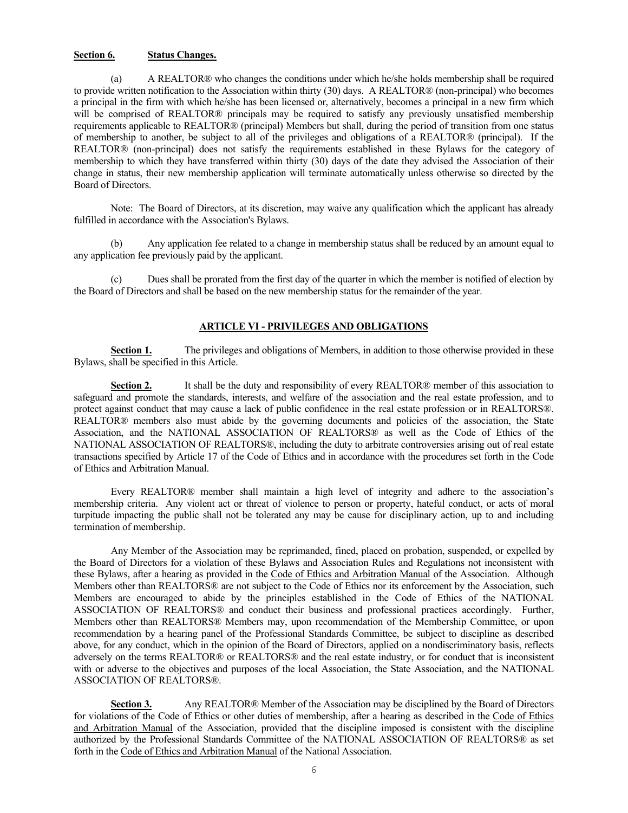### **Section 6. Status Changes.**

(a) A REALTOR® who changes the conditions under which he/she holds membership shall be required to provide written notification to the Association within thirty (30) days. A REALTOR® (non-principal) who becomes a principal in the firm with which he/she has been licensed or, alternatively, becomes a principal in a new firm which will be comprised of REALTOR® principals may be required to satisfy any previously unsatisfied membership requirements applicable to REALTOR® (principal) Members but shall, during the period of transition from one status of membership to another, be subject to all of the privileges and obligations of a REALTOR® (principal). If the REALTOR® (non-principal) does not satisfy the requirements established in these Bylaws for the category of membership to which they have transferred within thirty (30) days of the date they advised the Association of their change in status, their new membership application will terminate automatically unless otherwise so directed by the Board of Directors.

Note: The Board of Directors, at its discretion, may waive any qualification which the applicant has already fulfilled in accordance with the Association's Bylaws.

(b) Any application fee related to a change in membership status shall be reduced by an amount equal to any application fee previously paid by the applicant.

Dues shall be prorated from the first day of the quarter in which the member is notified of election by the Board of Directors and shall be based on the new membership status for the remainder of the year.

# **ARTICLE VI - PRIVILEGES AND OBLIGATIONS**

**Section 1.** The privileges and obligations of Members, in addition to those otherwise provided in these Bylaws, shall be specified in this Article.

**Section 2.** It shall be the duty and responsibility of every REALTOR® member of this association to safeguard and promote the standards, interests, and welfare of the association and the real estate profession, and to protect against conduct that may cause a lack of public confidence in the real estate profession or in REALTORS®. REALTOR<sup>®</sup> members also must abide by the governing documents and policies of the association, the State Association, and the NATIONAL ASSOCIATION OF REALTORS® as well as the Code of Ethics of the NATIONAL ASSOCIATION OF REALTORS®, including the duty to arbitrate controversies arising out of real estate transactions specified by Article 17 of the Code of Ethics and in accordance with the procedures set forth in the Code of Ethics and Arbitration Manual.

Every REALTOR® member shall maintain a high level of integrity and adhere to the association's membership criteria. Any violent act or threat of violence to person or property, hateful conduct, or acts of moral turpitude impacting the public shall not be tolerated any may be cause for disciplinary action, up to and including termination of membership.

Any Member of the Association may be reprimanded, fined, placed on probation, suspended, or expelled by the Board of Directors for a violation of these Bylaws and Association Rules and Regulations not inconsistent with these Bylaws, after a hearing as provided in the Code of Ethics and Arbitration Manual of the Association. Although Members other than REALTORS® are not subject to the Code of Ethics nor its enforcement by the Association, such Members are encouraged to abide by the principles established in the Code of Ethics of the NATIONAL ASSOCIATION OF REALTORS® and conduct their business and professional practices accordingly. Further, Members other than REALTORS® Members may, upon recommendation of the Membership Committee, or upon recommendation by a hearing panel of the Professional Standards Committee, be subject to discipline as described above, for any conduct, which in the opinion of the Board of Directors, applied on a nondiscriminatory basis, reflects adversely on the terms REALTOR® or REALTORS® and the real estate industry, or for conduct that is inconsistent with or adverse to the objectives and purposes of the local Association, the State Association, and the NATIONAL ASSOCIATION OF REALTORS®.

**Section 3.** Any REALTOR® Member of the Association may be disciplined by the Board of Directors for violations of the Code of Ethics or other duties of membership, after a hearing as described in the Code of Ethics and Arbitration Manual of the Association, provided that the discipline imposed is consistent with the discipline authorized by the Professional Standards Committee of the NATIONAL ASSOCIATION OF REALTORS® as set forth in the Code of Ethics and Arbitration Manual of the National Association.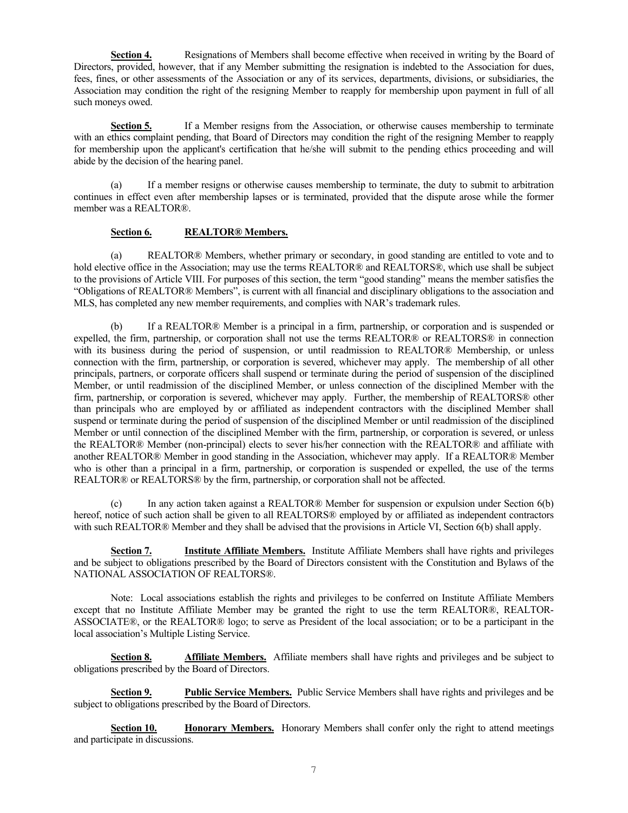**Section 4.** Resignations of Members shall become effective when received in writing by the Board of Directors, provided, however, that if any Member submitting the resignation is indebted to the Association for dues, fees, fines, or other assessments of the Association or any of its services, departments, divisions, or subsidiaries, the Association may condition the right of the resigning Member to reapply for membership upon payment in full of all such moneys owed.

**Section 5.** If a Member resigns from the Association, or otherwise causes membership to terminate with an ethics complaint pending, that Board of Directors may condition the right of the resigning Member to reapply for membership upon the applicant's certification that he/she will submit to the pending ethics proceeding and will abide by the decision of the hearing panel.

(a) If a member resigns or otherwise causes membership to terminate, the duty to submit to arbitration continues in effect even after membership lapses or is terminated, provided that the dispute arose while the former member was a REALTOR®.

# **Section 6. REALTOR® Members.**

(a) REALTOR® Members, whether primary or secondary, in good standing are entitled to vote and to hold elective office in the Association; may use the terms REALTOR® and REALTORS®, which use shall be subject to the provisions of Article VIII. For purposes of this section, the term "good standing" means the member satisfies the "Obligations of REALTOR® Members", is current with all financial and disciplinary obligations to the association and MLS, has completed any new member requirements, and complies with NAR's trademark rules.

(b) If a REALTOR® Member is a principal in a firm, partnership, or corporation and is suspended or expelled, the firm, partnership, or corporation shall not use the terms REALTOR® or REALTORS® in connection with its business during the period of suspension, or until readmission to REALTOR® Membership, or unless connection with the firm, partnership, or corporation is severed, whichever may apply. The membership of all other principals, partners, or corporate officers shall suspend or terminate during the period of suspension of the disciplined Member, or until readmission of the disciplined Member, or unless connection of the disciplined Member with the firm, partnership, or corporation is severed, whichever may apply. Further, the membership of REALTORS® other than principals who are employed by or affiliated as independent contractors with the disciplined Member shall suspend or terminate during the period of suspension of the disciplined Member or until readmission of the disciplined Member or until connection of the disciplined Member with the firm, partnership, or corporation is severed, or unless the REALTOR® Member (non-principal) elects to sever his/her connection with the REALTOR® and affiliate with another REALTOR® Member in good standing in the Association, whichever may apply. If a REALTOR® Member who is other than a principal in a firm, partnership, or corporation is suspended or expelled, the use of the terms REALTOR® or REALTORS® by the firm, partnership, or corporation shall not be affected.

(c) In any action taken against a REALTOR® Member for suspension or expulsion under Section 6(b) hereof, notice of such action shall be given to all REALTORS® employed by or affiliated as independent contractors with such REALTOR® Member and they shall be advised that the provisions in Article VI, Section 6(b) shall apply.

**Section 7. Institute Affiliate Members.** Institute Affiliate Members shall have rights and privileges and be subject to obligations prescribed by the Board of Directors consistent with the Constitution and Bylaws of the NATIONAL ASSOCIATION OF REALTORS®.

Note: Local associations establish the rights and privileges to be conferred on Institute Affiliate Members except that no Institute Affiliate Member may be granted the right to use the term REALTOR®, REALTOR-ASSOCIATE®, or the REALTOR® logo; to serve as President of the local association; or to be a participant in the local association's Multiple Listing Service.

**Section 8. Affiliate Members.** Affiliate members shall have rights and privileges and be subject to obligations prescribed by the Board of Directors.

**Section 9. Public Service Members.** Public Service Members shall have rights and privileges and be subject to obligations prescribed by the Board of Directors.

**Section 10. <b>Honorary Members.** Honorary Members shall confer only the right to attend meetings and participate in discussions.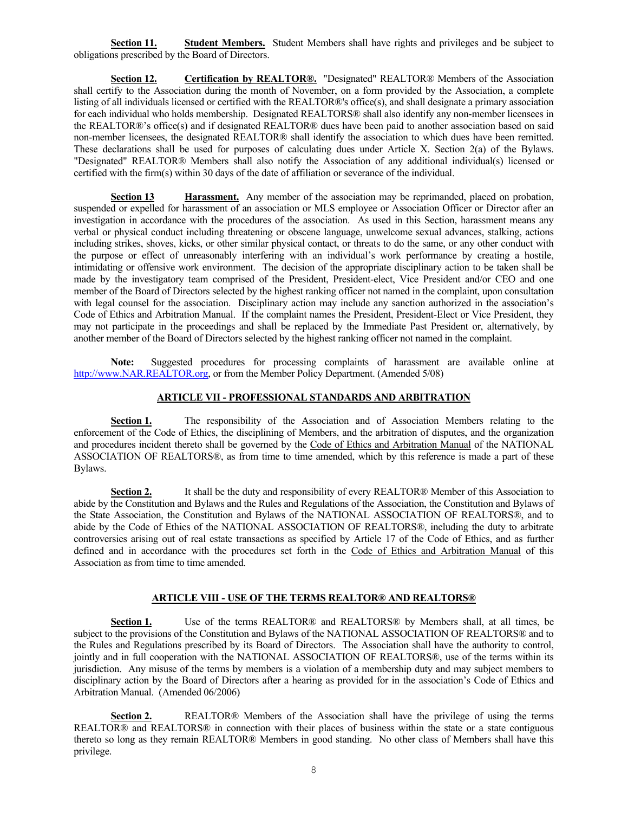**Section 11. Student Members.** Student Members shall have rights and privileges and be subject to obligations prescribed by the Board of Directors.

**Section 12. Certification by REALTOR®.** "Designated" REALTOR® Members of the Association shall certify to the Association during the month of November, on a form provided by the Association, a complete listing of all individuals licensed or certified with the REALTOR®'s office(s), and shall designate a primary association for each individual who holds membership. Designated REALTORS® shall also identify any non-member licensees in the REALTOR®'s office(s) and if designated REALTOR® dues have been paid to another association based on said non-member licensees, the designated REALTOR® shall identify the association to which dues have been remitted. These declarations shall be used for purposes of calculating dues under Article X. Section 2(a) of the Bylaws. "Designated" REALTOR® Members shall also notify the Association of any additional individual(s) licensed or certified with the firm(s) within 30 days of the date of affiliation or severance of the individual.

**Section 13 Harassment.** Any member of the association may be reprimanded, placed on probation, suspended or expelled for harassment of an association or MLS employee or Association Officer or Director after an investigation in accordance with the procedures of the association. As used in this Section, harassment means any verbal or physical conduct including threatening or obscene language, unwelcome sexual advances, stalking, actions including strikes, shoves, kicks, or other similar physical contact, or threats to do the same, or any other conduct with the purpose or effect of unreasonably interfering with an individual's work performance by creating a hostile, intimidating or offensive work environment. The decision of the appropriate disciplinary action to be taken shall be made by the investigatory team comprised of the President, President-elect, Vice President and/or CEO and one member of the Board of Directors selected by the highest ranking officer not named in the complaint, upon consultation with legal counsel for the association. Disciplinary action may include any sanction authorized in the association's Code of Ethics and Arbitration Manual. If the complaint names the President, President-Elect or Vice President, they may not participate in the proceedings and shall be replaced by the Immediate Past President or, alternatively, by another member of the Board of Directors selected by the highest ranking officer not named in the complaint.

**Note:** Suggested procedures for processing complaints of harassment are available online at http://www.NAR.REALTOR.org, or from the Member Policy Department. (Amended 5/08)

### **ARTICLE VII - PROFESSIONAL STANDARDS AND ARBITRATION**

**Section 1.** The responsibility of the Association and of Association Members relating to the enforcement of the Code of Ethics, the disciplining of Members, and the arbitration of disputes, and the organization and procedures incident thereto shall be governed by the Code of Ethics and Arbitration Manual of the NATIONAL ASSOCIATION OF REALTORS®, as from time to time amended, which by this reference is made a part of these Bylaws.

**Section 2.** It shall be the duty and responsibility of every REALTOR® Member of this Association to abide by the Constitution and Bylaws and the Rules and Regulations of the Association, the Constitution and Bylaws of the State Association, the Constitution and Bylaws of the NATIONAL ASSOCIATION OF REALTORS®, and to abide by the Code of Ethics of the NATIONAL ASSOCIATION OF REALTORS®, including the duty to arbitrate controversies arising out of real estate transactions as specified by Article 17 of the Code of Ethics, and as further defined and in accordance with the procedures set forth in the Code of Ethics and Arbitration Manual of this Association as from time to time amended.

# **ARTICLE VIII - USE OF THE TERMS REALTOR® AND REALTORS®**

**Section 1.** Use of the terms REALTOR® and REALTORS® by Members shall, at all times, be subject to the provisions of the Constitution and Bylaws of the NATIONAL ASSOCIATION OF REALTORS® and to the Rules and Regulations prescribed by its Board of Directors. The Association shall have the authority to control, jointly and in full cooperation with the NATIONAL ASSOCIATION OF REALTORS®, use of the terms within its jurisdiction. Any misuse of the terms by members is a violation of a membership duty and may subject members to disciplinary action by the Board of Directors after a hearing as provided for in the association's Code of Ethics and Arbitration Manual. (Amended 06/2006)

**Section 2.** REALTOR® Members of the Association shall have the privilege of using the terms REALTOR® and REALTORS® in connection with their places of business within the state or a state contiguous thereto so long as they remain REALTOR® Members in good standing. No other class of Members shall have this privilege.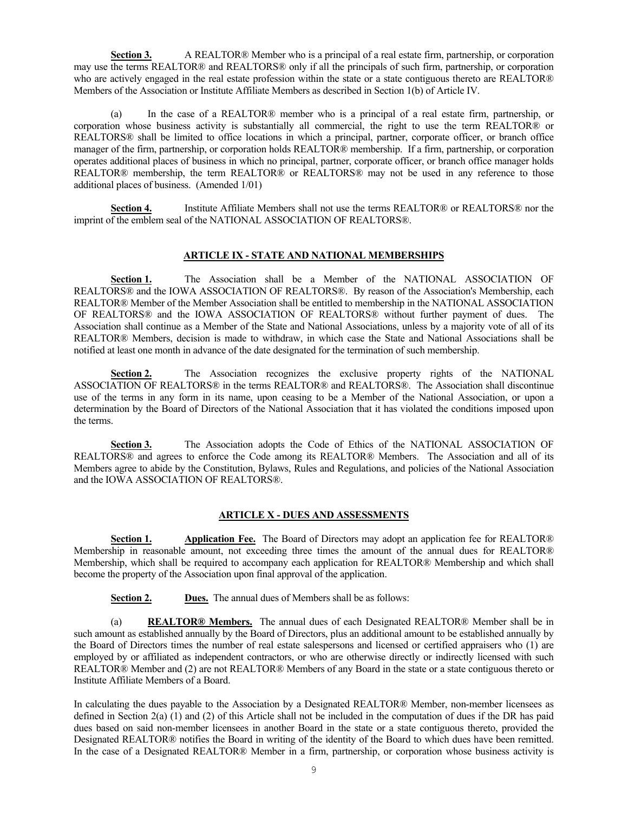**Section 3.** A REALTOR® Member who is a principal of a real estate firm, partnership, or corporation may use the terms REALTOR® and REALTORS® only if all the principals of such firm, partnership, or corporation who are actively engaged in the real estate profession within the state or a state contiguous thereto are REALTOR® Members of the Association or Institute Affiliate Members as described in Section 1(b) of Article IV.

(a) In the case of a REALTOR® member who is a principal of a real estate firm, partnership, or corporation whose business activity is substantially all commercial, the right to use the term REALTOR® or REALTORS® shall be limited to office locations in which a principal, partner, corporate officer, or branch office manager of the firm, partnership, or corporation holds REALTOR® membership. If a firm, partnership, or corporation operates additional places of business in which no principal, partner, corporate officer, or branch office manager holds REALTOR<sup>®</sup> membership, the term REALTOR® or REALTORS<sup>®</sup> may not be used in any reference to those additional places of business. (Amended 1/01)

**Section 4.** Institute Affiliate Members shall not use the terms REALTOR® or REALTORS® nor the imprint of the emblem seal of the NATIONAL ASSOCIATION OF REALTORS®.

### **ARTICLE IX - STATE AND NATIONAL MEMBERSHIPS**

Section 1. The Association shall be a Member of the NATIONAL ASSOCIATION OF REALTORS® and the IOWA ASSOCIATION OF REALTORS®. By reason of the Association's Membership, each REALTOR® Member of the Member Association shall be entitled to membership in the NATIONAL ASSOCIATION OF REALTORS® and the IOWA ASSOCIATION OF REALTORS® without further payment of dues. The Association shall continue as a Member of the State and National Associations, unless by a majority vote of all of its REALTOR® Members, decision is made to withdraw, in which case the State and National Associations shall be notified at least one month in advance of the date designated for the termination of such membership.

**Section 2.** The Association recognizes the exclusive property rights of the NATIONAL ASSOCIATION OF REALTORS® in the terms REALTOR® and REALTORS®. The Association shall discontinue use of the terms in any form in its name, upon ceasing to be a Member of the National Association, or upon a determination by the Board of Directors of the National Association that it has violated the conditions imposed upon the terms.

**Section 3.** The Association adopts the Code of Ethics of the NATIONAL ASSOCIATION OF REALTORS® and agrees to enforce the Code among its REALTOR® Members. The Association and all of its Members agree to abide by the Constitution, Bylaws, Rules and Regulations, and policies of the National Association and the IOWA ASSOCIATION OF REALTORS®.

### **ARTICLE X - DUES AND ASSESSMENTS**

**Section 1. Application Fee.** The Board of Directors may adopt an application fee for REALTOR® Membership in reasonable amount, not exceeding three times the amount of the annual dues for REALTOR® Membership, which shall be required to accompany each application for REALTOR® Membership and which shall become the property of the Association upon final approval of the application.

**Section 2. Dues.** The annual dues of Members shall be as follows:

(a) **REALTOR® Members.** The annual dues of each Designated REALTOR® Member shall be in such amount as established annually by the Board of Directors, plus an additional amount to be established annually by the Board of Directors times the number of real estate salespersons and licensed or certified appraisers who (1) are employed by or affiliated as independent contractors, or who are otherwise directly or indirectly licensed with such REALTOR® Member and (2) are not REALTOR® Members of any Board in the state or a state contiguous thereto or Institute Affiliate Members of a Board.

In calculating the dues payable to the Association by a Designated REALTOR® Member, non-member licensees as defined in Section 2(a) (1) and (2) of this Article shall not be included in the computation of dues if the DR has paid dues based on said non-member licensees in another Board in the state or a state contiguous thereto, provided the Designated REALTOR® notifies the Board in writing of the identity of the Board to which dues have been remitted. In the case of a Designated REALTOR® Member in a firm, partnership, or corporation whose business activity is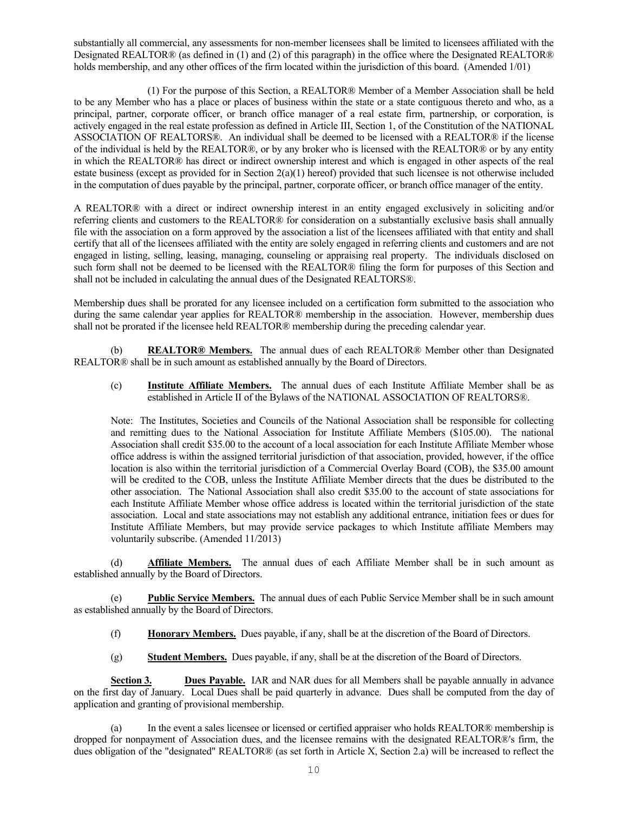substantially all commercial, any assessments for non-member licensees shall be limited to licensees affiliated with the Designated REALTOR® (as defined in (1) and (2) of this paragraph) in the office where the Designated REALTOR® holds membership, and any other offices of the firm located within the jurisdiction of this board. (Amended 1/01)

(1) For the purpose of this Section, a REALTOR® Member of a Member Association shall be held to be any Member who has a place or places of business within the state or a state contiguous thereto and who, as a principal, partner, corporate officer, or branch office manager of a real estate firm, partnership, or corporation, is actively engaged in the real estate profession as defined in Article III, Section 1, of the Constitution of the NATIONAL ASSOCIATION OF REALTORS®. An individual shall be deemed to be licensed with a REALTOR® if the license of the individual is held by the REALTOR®, or by any broker who is licensed with the REALTOR® or by any entity in which the REALTOR® has direct or indirect ownership interest and which is engaged in other aspects of the real estate business (except as provided for in Section  $2(a)(1)$  hereof) provided that such licensee is not otherwise included in the computation of dues payable by the principal, partner, corporate officer, or branch office manager of the entity.

A REALTOR® with a direct or indirect ownership interest in an entity engaged exclusively in soliciting and/or referring clients and customers to the REALTOR® for consideration on a substantially exclusive basis shall annually file with the association on a form approved by the association a list of the licensees affiliated with that entity and shall certify that all of the licensees affiliated with the entity are solely engaged in referring clients and customers and are not engaged in listing, selling, leasing, managing, counseling or appraising real property. The individuals disclosed on such form shall not be deemed to be licensed with the REALTOR® filing the form for purposes of this Section and shall not be included in calculating the annual dues of the Designated REALTORS®.

Membership dues shall be prorated for any licensee included on a certification form submitted to the association who during the same calendar year applies for REALTOR® membership in the association. However, membership dues shall not be prorated if the licensee held REALTOR® membership during the preceding calendar year.

(b) **REALTOR® Members.** The annual dues of each REALTOR® Member other than Designated REALTOR® shall be in such amount as established annually by the Board of Directors.

(c) **Institute Affiliate Members.** The annual dues of each Institute Affiliate Member shall be as established in Article II of the Bylaws of the NATIONAL ASSOCIATION OF REALTORS®.

Note: The Institutes, Societies and Councils of the National Association shall be responsible for collecting and remitting dues to the National Association for Institute Affiliate Members (\$105.00). The national Association shall credit \$35.00 to the account of a local association for each Institute Affiliate Member whose office address is within the assigned territorial jurisdiction of that association, provided, however, if the office location is also within the territorial jurisdiction of a Commercial Overlay Board (COB), the \$35.00 amount will be credited to the COB, unless the Institute Affiliate Member directs that the dues be distributed to the other association. The National Association shall also credit \$35.00 to the account of state associations for each Institute Affiliate Member whose office address is located within the territorial jurisdiction of the state association. Local and state associations may not establish any additional entrance, initiation fees or dues for Institute Affiliate Members, but may provide service packages to which Institute affiliate Members may voluntarily subscribe. (Amended 11/2013)

(d) **Affiliate Members.** The annual dues of each Affiliate Member shall be in such amount as established annually by the Board of Directors.

(e) **Public Service Members.** The annual dues of each Public Service Member shall be in such amount as established annually by the Board of Directors.

- (f) **Honorary Members.** Dues payable, if any, shall be at the discretion of the Board of Directors.
- (g) **Student Members.** Dues payable, if any, shall be at the discretion of the Board of Directors.

**Section 3. Dues Payable.** IAR and NAR dues for all Members shall be payable annually in advance on the first day of January. Local Dues shall be paid quarterly in advance. Dues shall be computed from the day of application and granting of provisional membership.

(a) In the event a sales licensee or licensed or certified appraiser who holds REALTOR® membership is dropped for nonpayment of Association dues, and the licensee remains with the designated REALTOR®'s firm, the dues obligation of the "designated" REALTOR® (as set forth in Article X, Section 2.a) will be increased to reflect the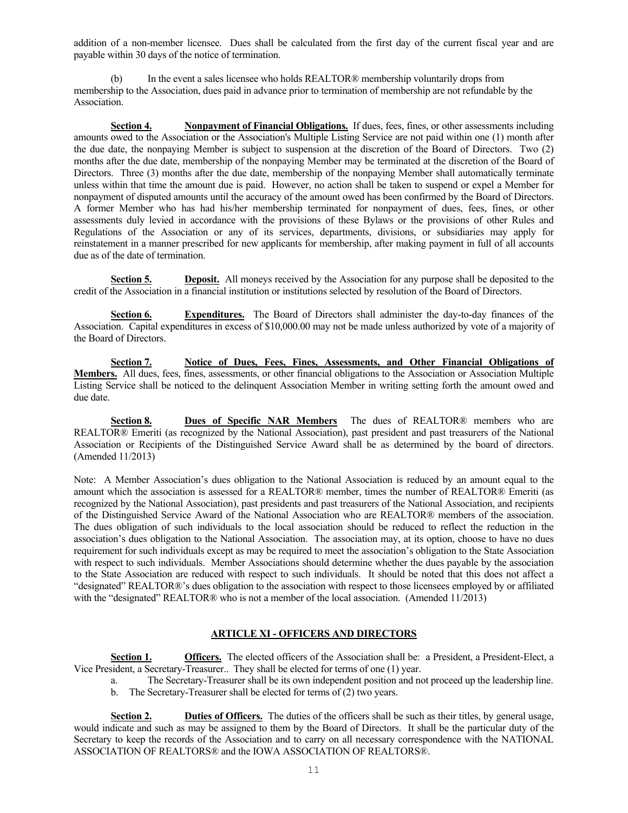addition of a non-member licensee. Dues shall be calculated from the first day of the current fiscal year and are payable within 30 days of the notice of termination.

(b) In the event a sales licensee who holds REALTOR® membership voluntarily drops from membership to the Association, dues paid in advance prior to termination of membership are not refundable by the Association.

**Section 4. Nonpayment of Financial Obligations.** If dues, fees, fines, or other assessments including amounts owed to the Association or the Association's Multiple Listing Service are not paid within one (1) month after the due date, the nonpaying Member is subject to suspension at the discretion of the Board of Directors. Two (2) months after the due date, membership of the nonpaying Member may be terminated at the discretion of the Board of Directors. Three (3) months after the due date, membership of the nonpaying Member shall automatically terminate unless within that time the amount due is paid. However, no action shall be taken to suspend or expel a Member for nonpayment of disputed amounts until the accuracy of the amount owed has been confirmed by the Board of Directors. A former Member who has had his/her membership terminated for nonpayment of dues, fees, fines, or other assessments duly levied in accordance with the provisions of these Bylaws or the provisions of other Rules and Regulations of the Association or any of its services, departments, divisions, or subsidiaries may apply for reinstatement in a manner prescribed for new applicants for membership, after making payment in full of all accounts due as of the date of termination.

**Section 5. Deposit.** All moneys received by the Association for any purpose shall be deposited to the credit of the Association in a financial institution or institutions selected by resolution of the Board of Directors.

**Section 6. Expenditures.** The Board of Directors shall administer the day-to-day finances of the Association. Capital expenditures in excess of \$10,000.00 may not be made unless authorized by vote of a majority of the Board of Directors.

**Section 7. Notice of Dues, Fees, Fines, Assessments, and Other Financial Obligations of Members.** All dues, fees, fines, assessments, or other financial obligations to the Association or Association Multiple Listing Service shall be noticed to the delinquent Association Member in writing setting forth the amount owed and due date.

**Section 8. Dues of Specific NAR Members** The dues of REALTOR® members who are REALTOR® Emeriti (as recognized by the National Association), past president and past treasurers of the National Association or Recipients of the Distinguished Service Award shall be as determined by the board of directors. (Amended 11/2013)

Note: A Member Association's dues obligation to the National Association is reduced by an amount equal to the amount which the association is assessed for a REALTOR® member, times the number of REALTOR® Emeriti (as recognized by the National Association), past presidents and past treasurers of the National Association, and recipients of the Distinguished Service Award of the National Association who are REALTOR® members of the association. The dues obligation of such individuals to the local association should be reduced to reflect the reduction in the association's dues obligation to the National Association. The association may, at its option, choose to have no dues requirement for such individuals except as may be required to meet the association's obligation to the State Association with respect to such individuals. Member Associations should determine whether the dues payable by the association to the State Association are reduced with respect to such individuals. It should be noted that this does not affect a "designated" REALTOR®'s dues obligation to the association with respect to those licensees employed by or affiliated with the "designated" REALTOR® who is not a member of the local association. (Amended 11/2013)

# **ARTICLE XI - OFFICERS AND DIRECTORS**

**Section 1. Officers.** The elected officers of the Association shall be: a President, a President-Elect, a Vice President, a Secretary-Treasurer.. They shall be elected for terms of one (1) year.

- a. The Secretary-Treasurer shall be its own independent position and not proceed up the leadership line.
- b. The Secretary-Treasurer shall be elected for terms of (2) two years.

**Section 2. Duties of Officers.** The duties of the officers shall be such as their titles, by general usage, would indicate and such as may be assigned to them by the Board of Directors. It shall be the particular duty of the Secretary to keep the records of the Association and to carry on all necessary correspondence with the NATIONAL ASSOCIATION OF REALTORS® and the IOWA ASSOCIATION OF REALTORS®.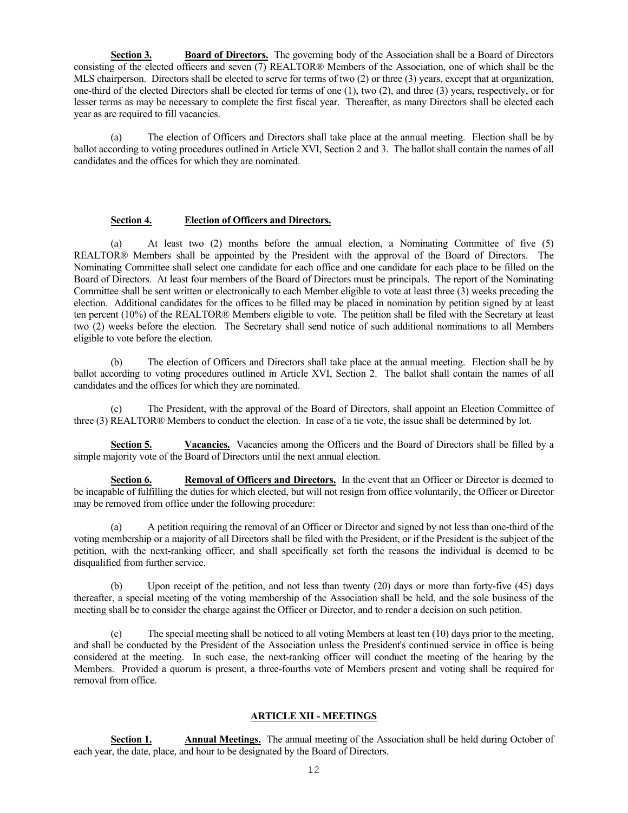**Section 3. Board of Directors.** The governing body of the Association shall be a Board of Directors consisting of the elected officers and seven (7) REALTOR® Members of the Association, one of which shall be the MLS chairperson. Directors shall be elected to serve for terms of two (2) or three (3) years, except that at organization, one-third of the elected Directors shall be elected for terms of one (1), two (2), and three (3) years, respectively, or for lesser terms as may be necessary to complete the first fiscal year. Thereafter, as many Directors shall be elected each year as are required to fill vacancies.

The election of Officers and Directors shall take place at the annual meeting. Election shall be by ballot according to voting procedures outlined in Article XVI, Section 2 and 3. The ballot shall contain the names of all candidates and the offices for which they are nominated.

### **Section 4. Election of Officers and Directors.**

(a) At least two (2) months before the annual election, a Nominating Committee of five (5) REALTOR® Members shall be appointed by the President with the approval of the Board of Directors. The Nominating Committee shall select one candidate for each office and one candidate for each place to be filled on the Board of Directors. At least four members of the Board of Directors must be principals. The report of the Nominating Committee shall be sent written or electronically to each Member eligible to vote at least three (3) weeks preceding the election. Additional candidates for the offices to be filled may be placed in nomination by petition signed by at least ten percent (10%) of the REALTOR® Members eligible to vote. The petition shall be filed with the Secretary at least two (2) weeks before the election. The Secretary shall send notice of such additional nominations to all Members eligible to vote before the election.

(b) The election of Officers and Directors shall take place at the annual meeting. Election shall be by ballot according to voting procedures outlined in Article XVI, Section 2. The ballot shall contain the names of all candidates and the offices for which they are nominated.

The President, with the approval of the Board of Directors, shall appoint an Election Committee of three (3) REALTOR® Members to conduct the election. In case of a tie vote, the issue shall be determined by lot.

Section 5. Vacancies. Vacancies among the Officers and the Board of Directors shall be filled by a simple majority vote of the Board of Directors until the next annual election.

**Section 6. Removal of Officers and Directors.** In the event that an Officer or Director is deemed to be incapable of fulfilling the duties for which elected, but will not resign from office voluntarily, the Officer or Director may be removed from office under the following procedure:

(a) A petition requiring the removal of an Officer or Director and signed by not less than one-third of the voting membership or a majority of all Directors shall be filed with the President, or if the President is the subject of the petition, with the next-ranking officer, and shall specifically set forth the reasons the individual is deemed to be disqualified from further service.

(b) Upon receipt of the petition, and not less than twenty (20) days or more than forty-five (45) days thereafter, a special meeting of the voting membership of the Association shall be held, and the sole business of the meeting shall be to consider the charge against the Officer or Director, and to render a decision on such petition.

(c) The special meeting shall be noticed to all voting Members at least ten (10) days prior to the meeting, and shall be conducted by the President of the Association unless the President's continued service in office is being considered at the meeting. In such case, the next-ranking officer will conduct the meeting of the hearing by the Members. Provided a quorum is present, a three-fourths vote of Members present and voting shall be required for removal from office.

# **ARTICLE XII - MEETINGS**

**Section 1. Annual Meetings.** The annual meeting of the Association shall be held during October of each year, the date, place, and hour to be designated by the Board of Directors.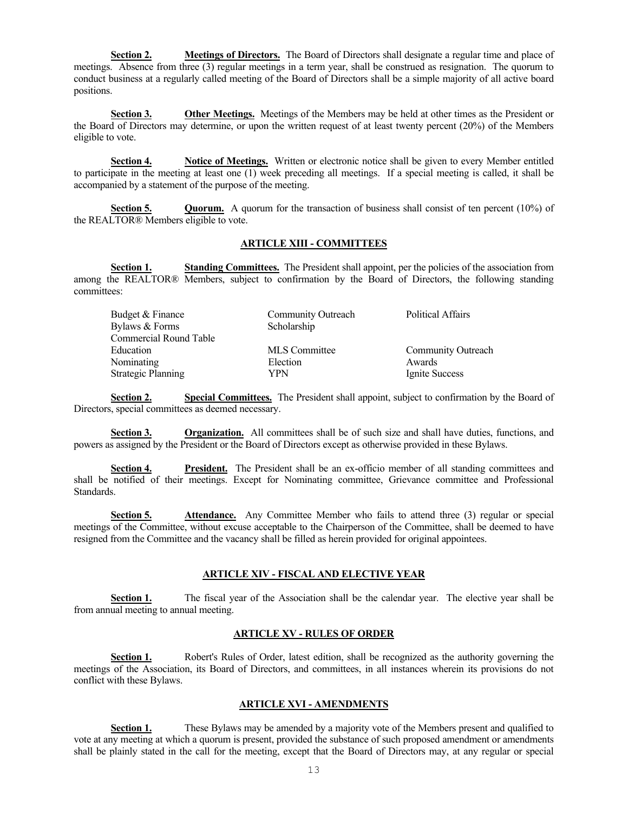**Section 2. Meetings of Directors.** The Board of Directors shall designate a regular time and place of meetings. Absence from three (3) regular meetings in a term year, shall be construed as resignation. The quorum to conduct business at a regularly called meeting of the Board of Directors shall be a simple majority of all active board positions.

**Section 3. Other Meetings.** Meetings of the Members may be held at other times as the President or the Board of Directors may determine, or upon the written request of at least twenty percent (20%) of the Members eligible to vote.

**Section 4. Notice of Meetings.** Written or electronic notice shall be given to every Member entitled to participate in the meeting at least one (1) week preceding all meetings. If a special meeting is called, it shall be accompanied by a statement of the purpose of the meeting.

**Section 5. Quorum.** A quorum for the transaction of business shall consist of ten percent (10%) of the REALTOR® Members eligible to vote.

### **ARTICLE XIII - COMMITTEES**

**Section 1. Standing Committees.** The President shall appoint, per the policies of the association from among the REALTOR® Members, subject to confirmation by the Board of Directors, the following standing committees:

| Community Outreach | <b>Political Affairs</b>  |
|--------------------|---------------------------|
| Scholarship        |                           |
|                    |                           |
| MLS Committee      | <b>Community Outreach</b> |
| Election           | Awards                    |
| YPN                | Ignite Success            |
|                    |                           |

**Section 2. Special Committees.** The President shall appoint, subject to confirmation by the Board of Directors, special committees as deemed necessary.

**Section 3. Organization.** All committees shall be of such size and shall have duties, functions, and powers as assigned by the President or the Board of Directors except as otherwise provided in these Bylaws.

**Section 4. President.** The President shall be an ex-officio member of all standing committees and shall be notified of their meetings. Except for Nominating committee, Grievance committee and Professional Standards.

**Section 5. Attendance.** Any Committee Member who fails to attend three (3) regular or special meetings of the Committee, without excuse acceptable to the Chairperson of the Committee, shall be deemed to have resigned from the Committee and the vacancy shall be filled as herein provided for original appointees.

# **ARTICLE XIV - FISCAL AND ELECTIVE YEAR**

**Section 1.** The fiscal year of the Association shall be the calendar year. The elective year shall be from annual meeting to annual meeting.

# **ARTICLE XV - RULES OF ORDER**

**Section 1.** Robert's Rules of Order, latest edition, shall be recognized as the authority governing the meetings of the Association, its Board of Directors, and committees, in all instances wherein its provisions do not conflict with these Bylaws.

# **ARTICLE XVI - AMENDMENTS**

**Section 1.** These Bylaws may be amended by a majority vote of the Members present and qualified to vote at any meeting at which a quorum is present, provided the substance of such proposed amendment or amendments shall be plainly stated in the call for the meeting, except that the Board of Directors may, at any regular or special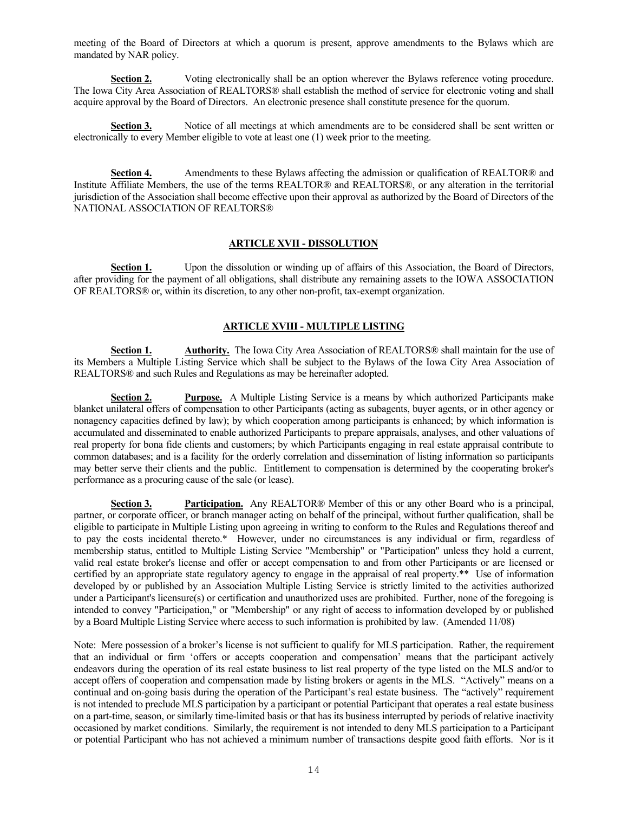meeting of the Board of Directors at which a quorum is present, approve amendments to the Bylaws which are mandated by NAR policy.

**Section 2.** Voting electronically shall be an option wherever the Bylaws reference voting procedure. The Iowa City Area Association of REALTORS® shall establish the method of service for electronic voting and shall acquire approval by the Board of Directors. An electronic presence shall constitute presence for the quorum.

**Section 3.** Notice of all meetings at which amendments are to be considered shall be sent written or electronically to every Member eligible to vote at least one (1) week prior to the meeting.

**Section 4.** Amendments to these Bylaws affecting the admission or qualification of REALTOR® and Institute Affiliate Members, the use of the terms REALTOR® and REALTORS®, or any alteration in the territorial jurisdiction of the Association shall become effective upon their approval as authorized by the Board of Directors of the NATIONAL ASSOCIATION OF REALTORS®

### **ARTICLE XVII - DISSOLUTION**

**Section 1.** Upon the dissolution or winding up of affairs of this Association, the Board of Directors, after providing for the payment of all obligations, shall distribute any remaining assets to the IOWA ASSOCIATION OF REALTORS® or, within its discretion, to any other non-profit, tax-exempt organization.

# **ARTICLE XVIII - MULTIPLE LISTING**

**Section 1. Authority.** The Iowa City Area Association of REALTORS® shall maintain for the use of its Members a Multiple Listing Service which shall be subject to the Bylaws of the Iowa City Area Association of REALTORS® and such Rules and Regulations as may be hereinafter adopted.

**Section 2. Purpose.** A Multiple Listing Service is a means by which authorized Participants make blanket unilateral offers of compensation to other Participants (acting as subagents, buyer agents, or in other agency or nonagency capacities defined by law); by which cooperation among participants is enhanced; by which information is accumulated and disseminated to enable authorized Participants to prepare appraisals, analyses, and other valuations of real property for bona fide clients and customers; by which Participants engaging in real estate appraisal contribute to common databases; and is a facility for the orderly correlation and dissemination of listing information so participants may better serve their clients and the public. Entitlement to compensation is determined by the cooperating broker's performance as a procuring cause of the sale (or lease).

**Section 3. Participation.** Any REALTOR® Member of this or any other Board who is a principal, partner, or corporate officer, or branch manager acting on behalf of the principal, without further qualification, shall be eligible to participate in Multiple Listing upon agreeing in writing to conform to the Rules and Regulations thereof and to pay the costs incidental thereto.\* However, under no circumstances is any individual or firm, regardless of membership status, entitled to Multiple Listing Service "Membership" or "Participation" unless they hold a current, valid real estate broker's license and offer or accept compensation to and from other Participants or are licensed or certified by an appropriate state regulatory agency to engage in the appraisal of real property.\*\* Use of information developed by or published by an Association Multiple Listing Service is strictly limited to the activities authorized under a Participant's licensure(s) or certification and unauthorized uses are prohibited. Further, none of the foregoing is intended to convey "Participation," or "Membership" or any right of access to information developed by or published by a Board Multiple Listing Service where access to such information is prohibited by law. (Amended 11/08)

Note: Mere possession of a broker's license is not sufficient to qualify for MLS participation. Rather, the requirement that an individual or firm 'offers or accepts cooperation and compensation' means that the participant actively endeavors during the operation of its real estate business to list real property of the type listed on the MLS and/or to accept offers of cooperation and compensation made by listing brokers or agents in the MLS. "Actively" means on a continual and on-going basis during the operation of the Participant's real estate business. The "actively" requirement is not intended to preclude MLS participation by a participant or potential Participant that operates a real estate business on a part-time, season, or similarly time-limited basis or that has its business interrupted by periods of relative inactivity occasioned by market conditions. Similarly, the requirement is not intended to deny MLS participation to a Participant or potential Participant who has not achieved a minimum number of transactions despite good faith efforts. Nor is it